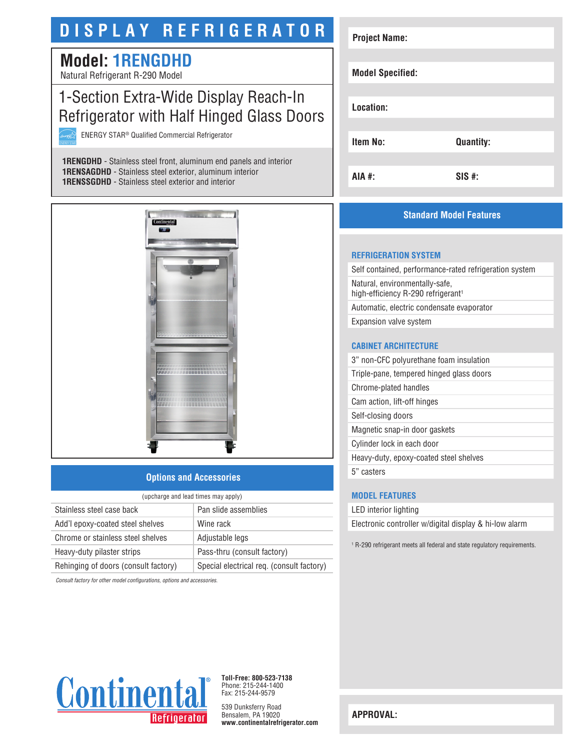# **DISPLAY REFRIGERATOR**

## **Model: 1RENGDHD**

Natural Refrigerant R-290 Model

### 1-Section Extra-Wide Display Reach-In Refrigerator with Half Hinged Glass Doors

ENERGY STAR® Qualified Commercial Refrigerator

**1RENGDHD** - Stainless steel front, aluminum end panels and interior **1RENSAGDHD** - Stainless steel exterior, aluminum interior **1RENSSGDHD** - Stainless steel exterior and interior



#### **Options and Accessories**

| (upcharge and lead times may apply)  |                                           |  |
|--------------------------------------|-------------------------------------------|--|
| Stainless steel case back            | Pan slide assemblies                      |  |
| Add'l epoxy-coated steel shelves     | Wine rack                                 |  |
| Chrome or stainless steel shelves    | Adjustable legs                           |  |
| Heavy-duty pilaster strips           | Pass-thru (consult factory)               |  |
| Rehinging of doors (consult factory) | Special electrical req. (consult factory) |  |

*Consult factory for other model configurations, options and accessories.*

| <b>Project Name:</b>    |                  |
|-------------------------|------------------|
|                         |                  |
| <b>Model Specified:</b> |                  |
|                         |                  |
| Location:               |                  |
|                         |                  |
| <b>Item No:</b>         | <b>Quantity:</b> |
|                         |                  |
| <b>AIA #:</b>           | $SIS$ #:         |

#### **Standard Model Features**

#### **REFRIGERATION SYSTEM**

Self contained, performance-rated refrigeration system Natural, environmentally-safe, high-efficiency R-290 refrigerant<sup>1</sup> Automatic, electric condensate evaporator Expansion valve system

#### **CABINET ARCHITECTURE**

3" non-CFC polyurethane foam insulation Triple-pane, tempered hinged glass doors Chrome-plated handles Cam action, lift-off hinges Self-closing doors Magnetic snap-in door gaskets Cylinder lock in each door Heavy-duty, epoxy-coated steel shelves 5" casters

#### **MODEL FEATURES**

LED interior lighting

Electronic controller w/digital display & hi-low alarm

1 R-290 refrigerant meets all federal and state regulatory requirements.



**Toll-Free: 800-523-7138** Phone: 215-244-1400 Fax: 215-244-9579

539 Dunksferry Road Bensalem, PA 19020 **www.continentalrefrigerator.com** 

**APPROVAL:**